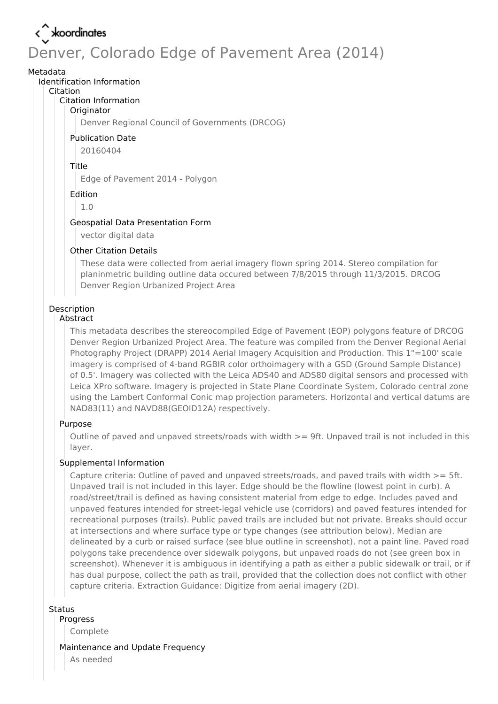# < xoordinates Denver, Colorado Edge of Pavement Area (2014)

### Metadata

Identification Information

#### Citation

### Citation Information

### **Originator**

Denver Regional Council of Governments (DRCOG)

### Publication Date

20160404

### Title

Edge of Pavement 2014 - Polygon

### Edition

1.0

### Geospatial Data Presentation Form

vector digital data

### Other Citation Details

These data were collected from aerial imagery flown spring 2014. Stereo compilation for planinmetric building outline data occured between 7/8/2015 through 11/3/2015. DRCOG Denver Region Urbanized Project Area

# Description

### Abstract

This metadata describes the stereocompiled Edge of Pavement (EOP) polygons feature of DRCOG Denver Region Urbanized Project Area. The feature was compiled from the Denver Regional Aerial Photography Project (DRAPP) 2014 Aerial Imagery Acquisition and Production. This 1"=100' scale imagery is comprised of 4-band RGBIR color orthoimagery with a GSD (Ground Sample Distance) of 0.5'. Imagery was collected with the Leica ADS40 and ADS80 digital sensors and processed with Leica XPro software. Imagery is projected in State Plane Coordinate System, Colorado central zone using the Lambert Conformal Conic map projection parameters. Horizontal and vertical datums are NAD83(11) and NAVD88(GEOID12A) respectively.

## Purpose

Outline of paved and unpaved streets/roads with width  $>=$  9ft. Unpaved trail is not included in this layer.

## Supplemental Information

Capture criteria: Outline of paved and unpaved streets/roads, and paved trails with width >= 5ft. Unpaved trail is not included in this layer. Edge should be the flowline (lowest point in curb). A road/street/trail is defined as having consistent material from edge to edge. Includes paved and unpaved features intended for street-legal vehicle use (corridors) and paved features intended for recreational purposes (trails). Public paved trails are included but not private. Breaks should occur at intersections and where surface type or type changes (see attribution below). Median are delineated by a curb or raised surface (see blue outline in screenshot), not a paint line. Paved road polygons take precendence over sidewalk polygons, but unpaved roads do not (see green box in screenshot). Whenever it is ambiguous in identifying a path as either a public sidewalk or trail, or if has dual purpose, collect the path as trail, provided that the collection does not conflict with other capture criteria. Extraction Guidance: Digitize from aerial imagery (2D).

### **Status**

Progress

Complete

### Maintenance and Update Frequency

As needed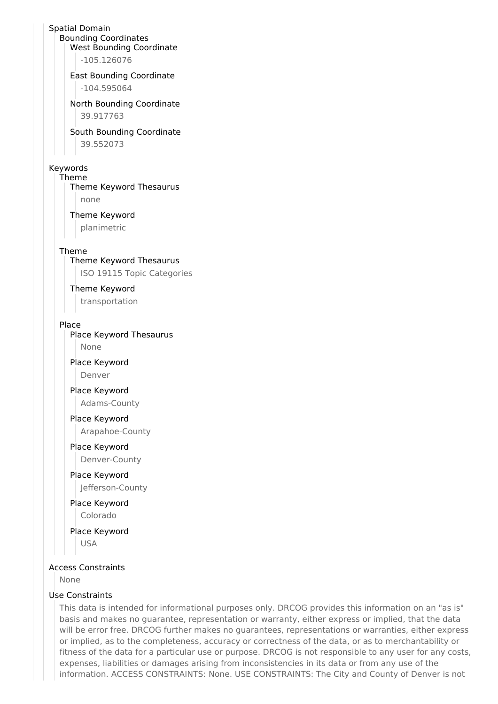# Spatial Domain

Bounding Coordinates West Bounding Coordinate

-105.126076

### East Bounding Coordinate

-104.595064

### North Bounding Coordinate

39.917763

### South Bounding Coordinate

39.552073

### Keywords

Theme

Theme Keyword Thesaurus none

## Theme Keyword

planimetric

### Theme

Theme Keyword Thesaurus ISO 19115 Topic Categories

### Theme Keyword

transportation

### Place

# Place Keyword Thesaurus

None

### Place Keyword Denver

# Place Keyword

Adams-County

## Place Keyword

Arapahoe-County

### Place Keyword

Denver-County

### Place Keyword

Jefferson-County

# Place Keyword

Colorado

Place Keyword USA

### Access Constraints

None

### Use Constraints

This data is intended for informational purposes only. DRCOG provides this information on an "as is" basis and makes no guarantee, representation or warranty, either express or implied, that the data will be error free. DRCOG further makes no guarantees, representations or warranties, either express or implied, as to the completeness, accuracy or correctness of the data, or as to merchantability or fitness of the data for a particular use or purpose. DRCOG is not responsible to any user for any costs, expenses, liabilities or damages arising from inconsistencies in its data or from any use of the information. ACCESS CONSTRAINTS: None. USE CONSTRAINTS: The City and County of Denver is not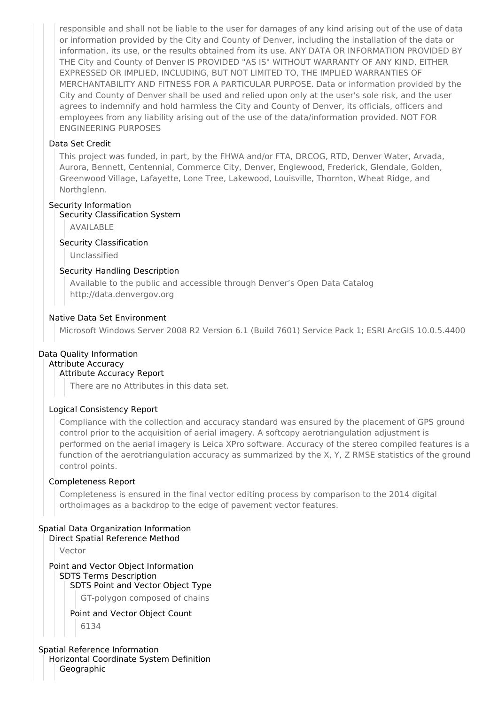responsible and shall not be liable to the user for damages of any kind arising out of the use of data or information provided by the City and County of Denver, including the installation of the data or information, its use, or the results obtained from its use. ANY DATA OR INFORMATION PROVIDED BY THE City and County of Denver IS PROVIDED "AS IS" WITHOUT WARRANTY OF ANY KIND, EITHER EXPRESSED OR IMPLIED, INCLUDING, BUT NOT LIMITED TO, THE IMPLIED WARRANTIES OF MERCHANTABILITY AND FITNESS FOR A PARTICULAR PURPOSE. Data or information provided by the City and County of Denver shall be used and relied upon only at the user's sole risk, and the user agrees to indemnify and hold harmless the City and County of Denver, its officials, officers and employees from any liability arising out of the use of the data/information provided. NOT FOR ENGINEERING PURPOSES

### Data Set Credit

This project was funded, in part, by the FHWA and/or FTA, DRCOG, RTD, Denver Water, Arvada, Aurora, Bennett, Centennial, Commerce City, Denver, Englewood, Frederick, Glendale, Golden, Greenwood Village, Lafayette, Lone Tree, Lakewood, Louisville, Thornton, Wheat Ridge, and Northglenn.

### Security Information

### Security Classification System

AVAILABLE

### Security Classification

Unclassified

### Security Handling Description

Available to the public and accessible through Denver's Open Data Catalog http://data.denvergov.org

### Native Data Set Environment

Microsoft Windows Server 2008 R2 Version 6.1 (Build 7601) Service Pack 1; ESRI ArcGIS 10.0.5.4400

## Data Quality Information

#### Attribute Accuracy Attribute Accuracy Report

There are no Attributes in this data set.

## Logical Consistency Report

Compliance with the collection and accuracy standard was ensured by the placement of GPS ground control prior to the acquisition of aerial imagery. A softcopy aerotriangulation adjustment is performed on the aerial imagery is Leica XPro software. Accuracy of the stereo compiled features is a function of the aerotriangulation accuracy as summarized by the X, Y, Z RMSE statistics of the ground control points.

### Completeness Report

Completeness is ensured in the final vector editing process by comparison to the 2014 digital orthoimages as a backdrop to the edge of pavement vector features.

## Spatial Data Organization Information

Direct Spatial Reference Method

Vector

### Point and Vector Object Information SDTS Terms Description SDTS Point and Vector Object Type

GT-polygon composed of chains

## Point and Vector Object Count

6134

### Spatial Reference Information Horizontal Coordinate System Definition

**Geographic**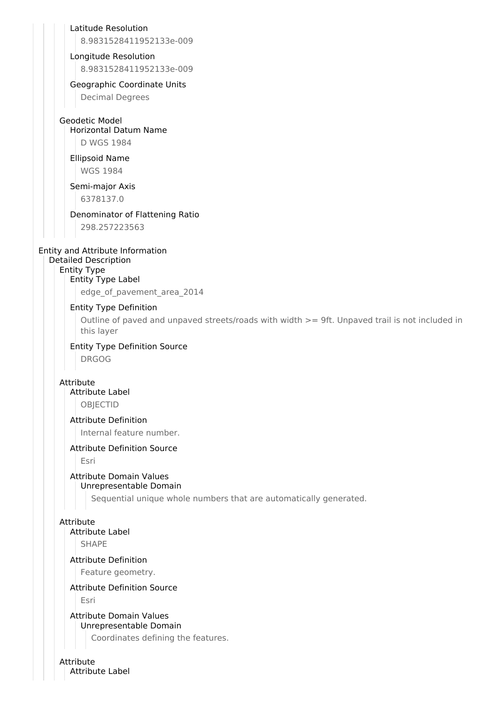Latitude Resolution

8.9831528411952133e-009

### Longitude Resolution

8.9831528411952133e-009

# Geographic Coordinate Units

Decimal Degrees

# Geodetic Model

Horizontal Datum Name D WGS 1984

### Ellipsoid Name WGS 1984

# Semi-major Axis

6378137.0

# Denominator of Flattening Ratio

298.257223563

## Entity and Attribute Information

Detailed Description

#### Entity Type Entity Type Label

edge of pavement area 2014

## Entity Type Definition

Outline of paved and unpaved streets/roads with width >= 9ft. Unpaved trail is not included in this layer

# Entity Type Definition Source

DRGOG

### Attribute Attribute Label

OBJECTID

# Attribute Definition

Internal feature number.

## Attribute Definition Source

Esri

#### Attribute Domain Values Unrepresentable Domain

Sequential unique whole numbers that are automatically generated.

## Attribute

# Attribute Label

SHAPE

### Attribute Definition

Feature geometry.

## Attribute Definition Source

Esri

# Attribute Domain Values Unrepresentable Domain

Coordinates defining the features.

### Attribute Attribute Label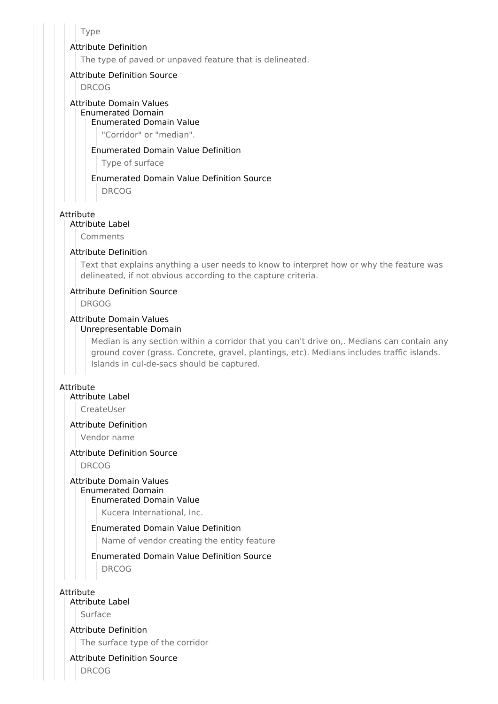### Type

### Attribute Definition

The type of paved or unpaved feature that is delineated.

### Attribute Definition Source

DRCOG

#### Attribute Domain Values Enumerated Domain Enumerated Domain Value

"Corridor" or "median".

### Enumerated Domain Value Definition

Type of surface

# Enumerated Domain Value Definition Source

DRCOG

## Attribute

Attribute Label

Comments

### Attribute Definition

Text that explains anything a user needs to know to interpret how or why the feature was delineated, if not obvious according to the capture criteria.

### Attribute Definition Source

DRGOG

# Attribute Domain Values

### Unrepresentable Domain

Median is any section within a corridor that you can't drive on,. Medians can contain any ground cover (grass. Concrete, gravel, plantings, etc). Medians includes traffic islands. Islands in cul-de-sacs should be captured.

### Attribute

### Attribute Label

CreateUser

## Attribute Definition

Vendor name

# Attribute Definition Source

DRCOG

### Attribute Domain Values

# Enumerated Domain

Enumerated Domain Value

Kucera International, Inc.

### Enumerated Domain Value Definition

Name of vendor creating the entity feature

# Enumerated Domain Value Definition Source

DRCOG

Attribute

## Attribute Label

Surface

### Attribute Definition

The surface type of the corridor

## Attribute Definition Source

DRCOG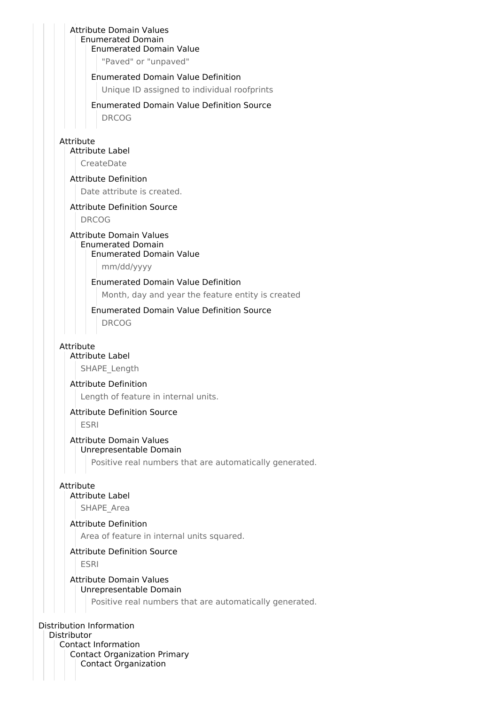### Attribute Domain Values Enumerated Domain Enumerated Domain Value

"Paved" or "unpaved"

Enumerated Domain Value Definition

Unique ID assigned to individual roofprints

# Enumerated Domain Value Definition Source

DRCOG

## Attribute

Attribute Label

CreateDate

## Attribute Definition

Date attribute is created.

### Attribute Definition Source

DRCOG

#### Attribute Domain Values Enumerated Domain Enumerated Domain Value

mm/dd/yyyy

## Enumerated Domain Value Definition

Month, day and year the feature entity is created

# Enumerated Domain Value Definition Source

DRCOG

### Attribute

# Attribute Label

SHAPE\_Length

### Attribute Definition

Length of feature in internal units.

## Attribute Definition Source

ESRI

### Attribute Domain Values Unrepresentable Domain

Positive real numbers that are automatically generated.

## Attribute

### Attribute Label

SHAPE Area

## Attribute Definition

Area of feature in internal units squared.

### Attribute Definition Source

ESRI

### Attribute Domain Values Unrepresentable Domain

Positive real numbers that are automatically generated.

## Distribution Information

Distributor Contact Information Contact Organization Primary Contact Organization